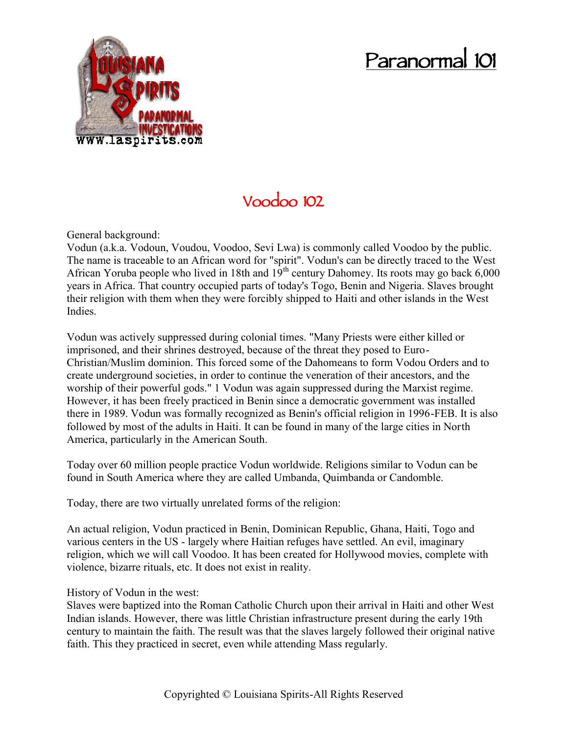# **Paranormal 101**



## **Voodoo 102**

General background:

Vodun (a.k.a. Vodoun, Voudou, Voodoo, Sevi Lwa) is commonly called Voodoo by the public. The name is traceable to an African word for "spirit". Vodun's can be directly traced to the West African Yoruba people who lived in 18th and  $19^{th}$  century Dahomey. Its roots may go back 6,000 years in Africa. That country occupied parts of today's Togo, Benin and Nigeria. Slaves brought their religion with them when they were forcibly shipped to Haiti and other islands in the West Indies.

Vodun was actively suppressed during colonial times. "Many Priests were either killed or imprisoned, and their shrines destroyed, because of the threat they posed to Euro- Christian/Muslim dominion. This forced some of the Dahomeans to form Vodou Orders and to create underground societies, in order to continue the veneration of their ancestors, and the worship of their powerful gods." 1 Vodun was again suppressed during the Marxist regime. However, it has been freely practiced in Benin since a democratic government was installed there in 1989. Vodun was formally recognized as Benin's official religion in 1996-FEB. It is also followed by most of the adults in Haiti. It can be found in many of the large cities in North America, particularly in the American South.

Today over 60 million people practice Vodun worldwide. Religions similar to Vodun can be found in South America where they are called Umbanda, Quimbanda or Candomble.

Today, there are two virtually unrelated forms of the religion:

An actual religion, Vodun practiced in Benin, Dominican Republic, Ghana, Haiti, Togo and various centers in the US - largely where Haitian refuges have settled. An evil, imaginary religion, which we will call Voodoo. It has been created for Hollywood movies, complete with violence, bizarre rituals, etc. It does not exist in reality.

### History of Vodun in the west:

Slaves were baptized into the Roman Catholic Church upon their arrival in Haiti and other West Indian islands. However, there was little Christian infrastructure present during the early 19th century to maintain the faith. The result was that the slaves largely followed their original native faith. This they practiced in secret, even while attending Mass regularly.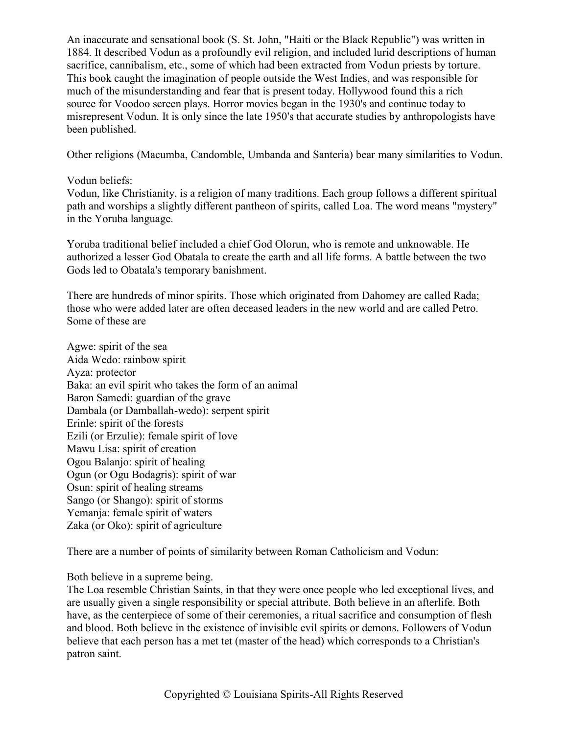An inaccurate and sensational book (S. St. John, "Haiti or the Black Republic") was written in 1884. It described Vodun as a profoundly evil religion, and included lurid descriptions of human sacrifice, cannibalism, etc., some of which had been extracted from Vodun priests by torture. This book caught the imagination of people outside the West Indies, and was responsible for much of the misunderstanding and fear that is present today. Hollywood found this a rich source for Voodoo screen plays. Horror movies began in the 1930's and continue today to misrepresent Vodun. It is only since the late 1950's that accurate studies by anthropologists have been published.

Other religions (Macumba, Candomble, Umbanda and Santeria) bear many similarities to Vodun.

#### Vodun beliefs:

Vodun, like Christianity, is a religion of many traditions. Each group follows a different spiritual path and worships a slightly different pantheon of spirits, called Loa. The word means "mystery" in the Yoruba language.

Yoruba traditional belief included a chief God Olorun, who is remote and unknowable. He authorized a lesser God Obatala to create the earth and all life forms. A battle between the two Gods led to Obatala's temporary banishment.

There are hundreds of minor spirits. Those which originated from Dahomey are called Rada; those who were added later are often deceased leaders in the new world and are called Petro. Some of these are

Agwe: spirit of the sea Aida Wedo: rainbow spirit Ayza: protector Baka: an evil spirit who takes the form of an animal Baron Samedi: guardian of the grave Dambala (or Damballah-wedo): serpent spirit Erinle: spirit of the forests Ezili (or Erzulie): female spirit of love Mawu Lisa: spirit of creation Ogou Balanjo: spirit of healing Ogun (or Ogu Bodagris): spirit of war Osun: spirit of healing streams Sango (or Shango): spirit of storms Yemanja: female spirit of waters Zaka (or Oko): spirit of agriculture

There are a number of points of similarity between Roman Catholicism and Vodun:

Both believe in a supreme being.

The Loa resemble Christian Saints, in that they were once people who led exceptional lives, and are usually given a single responsibility or special attribute. Both believe in an afterlife. Both have, as the centerpiece of some of their ceremonies, a ritual sacrifice and consumption of flesh and blood. Both believe in the existence of invisible evil spirits or demons. Followers of Vodun believe that each person has a met tet (master of the head) which corresponds to a Christian's patron saint.